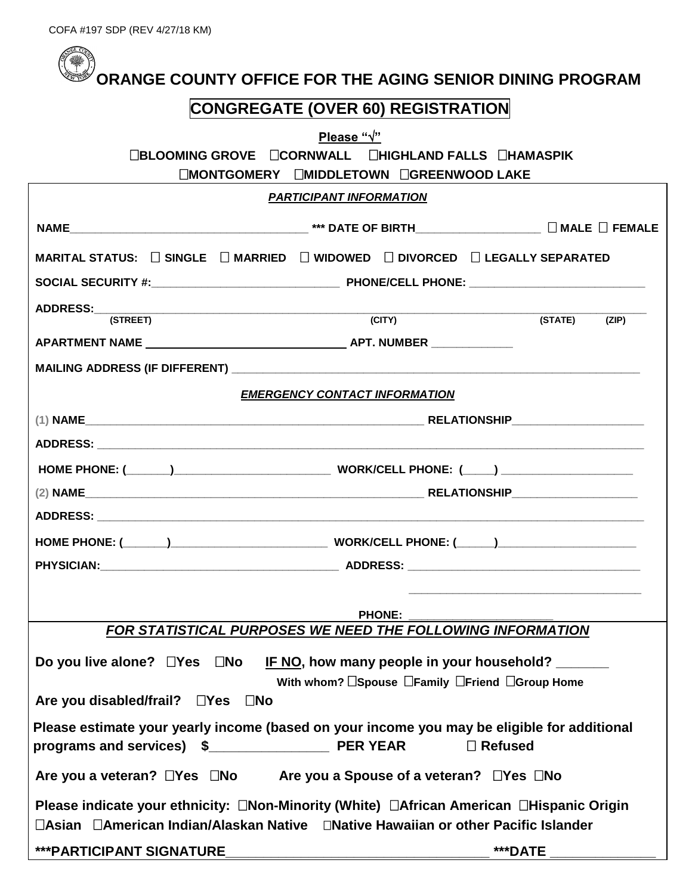|  |  |  |  | $\mathcal{C}$ ORANGE COUNTY OFFICE FOR THE AGING SENIOR DINING PROGRAM |  |  |  |  |  |
|--|--|--|--|------------------------------------------------------------------------|--|--|--|--|--|
|--|--|--|--|------------------------------------------------------------------------|--|--|--|--|--|

## **CONGREGATE (OVER 60) REGISTRATION**

| Please " $\sqrt{ }$ "                                                                                                                                                         |                                            |                  |  |  |  |  |  |  |
|-------------------------------------------------------------------------------------------------------------------------------------------------------------------------------|--------------------------------------------|------------------|--|--|--|--|--|--|
| □BLOOMING GROVE □CORNWALL □HIGHLAND FALLS □HAMASPIK                                                                                                                           |                                            |                  |  |  |  |  |  |  |
| □MONTGOMERY □MIDDLETOWN □GREENWOOD LAKE                                                                                                                                       |                                            |                  |  |  |  |  |  |  |
|                                                                                                                                                                               | <b>PARTICIPANT INFORMATION</b>             |                  |  |  |  |  |  |  |
|                                                                                                                                                                               |                                            |                  |  |  |  |  |  |  |
| MARITAL STATUS: $\Box$ SINGLE $\Box$ MARRIED $\Box$ WIDOWED $\Box$ DIVORCED $\Box$ LEGALLY SEPARATED                                                                          |                                            |                  |  |  |  |  |  |  |
|                                                                                                                                                                               |                                            |                  |  |  |  |  |  |  |
|                                                                                                                                                                               |                                            |                  |  |  |  |  |  |  |
| (STREET)                                                                                                                                                                      | $\overline{(CITY)}$                        | (STATE)<br>(ZIP) |  |  |  |  |  |  |
|                                                                                                                                                                               |                                            |                  |  |  |  |  |  |  |
|                                                                                                                                                                               |                                            |                  |  |  |  |  |  |  |
|                                                                                                                                                                               | <b>EMERGENCY CONTACT INFORMATION</b>       |                  |  |  |  |  |  |  |
|                                                                                                                                                                               |                                            |                  |  |  |  |  |  |  |
|                                                                                                                                                                               |                                            |                  |  |  |  |  |  |  |
|                                                                                                                                                                               |                                            |                  |  |  |  |  |  |  |
|                                                                                                                                                                               |                                            |                  |  |  |  |  |  |  |
|                                                                                                                                                                               |                                            |                  |  |  |  |  |  |  |
|                                                                                                                                                                               |                                            |                  |  |  |  |  |  |  |
|                                                                                                                                                                               |                                            |                  |  |  |  |  |  |  |
|                                                                                                                                                                               |                                            |                  |  |  |  |  |  |  |
|                                                                                                                                                                               | <b>PHONE:</b>                              |                  |  |  |  |  |  |  |
| <b>FOR STATISTICAL PURPOSES WE NEED THE FOLLOWING INFORMATION</b>                                                                                                             |                                            |                  |  |  |  |  |  |  |
| Do you live alone? $\Box$ Yes $\Box$ No IF NO, how many people in your household? _____                                                                                       |                                            |                  |  |  |  |  |  |  |
|                                                                                                                                                                               | With whom? Spouse Family Friend Group Home |                  |  |  |  |  |  |  |
| Are you disabled/frail? □Yes □No                                                                                                                                              |                                            |                  |  |  |  |  |  |  |
| Please estimate your yearly income (based on your income you may be eligible for additional<br>programs and services) $\frac{1}{2}$                                           | <b>PER YEAR</b>                            | $\Box$ Refused   |  |  |  |  |  |  |
| Are you a veteran? □Yes □No Are you a Spouse of a veteran? □Yes □No                                                                                                           |                                            |                  |  |  |  |  |  |  |
| Please indicate your ethnicity: □Non-Minority (White) □African American □Hispanic Origin<br>□Asian □American Indian/Alaskan Native □Native Hawaiian or other Pacific Islander |                                            |                  |  |  |  |  |  |  |
| *** PARTICIPANT SIGNATURE                                                                                                                                                     |                                            | ***DATE          |  |  |  |  |  |  |